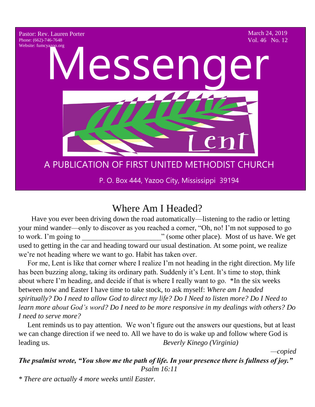

# Where Am I Headed?

Have you ever been driving down the road automatically—listening to the radio or letting your mind wander—only to discover as you reached a corner, "Oh, no! I'm not supposed to go to work. I'm going to  $\qquad$  (some other place). Most of us have. We get used to getting in the car and heading toward our usual destination. At some point, we realize we're not heading where we want to go. Habit has taken over. Dave you ever be  $\overline{1}$   $\overline{1}$ 

 For me, Lent is like that corner where I realize I'm not heading in the right direction. My life has been buzzing along, taking its ordinary path. Suddenly it's Lent. It's time to stop, think about where I'm heading, and decide if that is where I really want to go. \*In the six weeks between now and Easter I have time to take stock, to ask myself: *Where am I headed spiritually? Do I need to allow God to direct my life? Do I Need to listen more? Do I Need to learn more about God's word? Do I need to be more responsive in my dealings with others? Do I need to serve more?*

 Lent reminds us to pay attention. We won't figure out the answers our questions, but at least we can change direction if we need to. All we have to do is wake up and follow where God is leading us. *Beverly Kinego (Virginia)*

 *—copied* 

*The psalmist wrote, "You show me the path of life. In your presence there is fullness of joy." Psalm 16:11*

*\* There are actually 4 more weeks until Easter.*44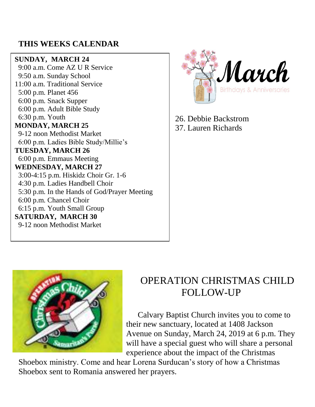#### **THIS WEEKS CALENDAR**

#### **SUNDAY, MARCH 24**

 9:00 a.m. Come AZ U R Service 9:50 a.m. Sunday School 11:00 a.m. Traditional Service 5:00 p.m. Planet 456 6:00 p.m. Snack Supper 6:00 p.m. Adult Bible Study 6:30 p.m. Youth **MONDAY, MARCH 25** 9-12 noon Methodist Market 6:00 p.m. Ladies Bible Study/Millie's **TUESDAY, MARCH 26** 6:00 p.m. Emmaus Meeting **WEDNESDAY, MARCH 27** 3:00-4:15 p.m. Hiskidz Choir Gr. 1-6 4:30 p.m. Ladies Handbell Choir 5:30 p.m. In the Hands of God/Prayer Meeting 6:00 p.m. Chancel Choir 6:15 p.m. Youth Small Group **SATURDAY, MARCH 30** 9-12 noon Methodist Market



26. Debbie Backstrom 37. Lauren Richards



# OPERATION CHRISTMAS CHILD FOLLOW-UP

 Calvary Baptist Church invites you to come to their new sanctuary, located at 1408 Jackson Avenue on Sunday, March 24, 2019 at 6 p.m. They will have a special guest who will share a personal experience about the impact of the Christmas

Shoebox ministry. Come and hear Lorena Surducan's story of how a Christmas Shoebox sent to Romania answered her prayers.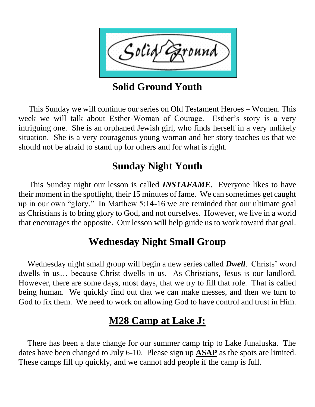

**Solid Ground Youth** 

 This Sunday we will continue our series on Old Testament Heroes – Women. This week we will talk about Esther-Woman of Courage. Esther's story is a very intriguing one. She is an orphaned Jewish girl, who finds herself in a very unlikely situation. She is a very courageous young woman and her story teaches us that we should not be afraid to stand up for others and for what is right.

# **Sunday Night Youth**

 This Sunday night our lesson is called *INSTAFAME*. Everyone likes to have their moment in the spotlight, their 15 minutes of fame. We can sometimes get caught up in our own "glory." In Matthew 5:14-16 we are reminded that our ultimate goal as Christians is to bring glory to God, and not ourselves. However, we live in a world that encourages the opposite. Our lesson will help guide us to work toward that goal.

# **Wednesday Night Small Group**

 Wednesday night small group will begin a new series called *Dwell*. Christs' word dwells in us… because Christ dwells in us. As Christians, Jesus is our landlord. However, there are some days, most days, that we try to fill that role. That is called being human. We quickly find out that we can make messes, and then we turn to God to fix them. We need to work on allowing God to have control and trust in Him.

# **M28 Camp at Lake J:**

 There has been a date change for our summer camp trip to Lake Junaluska. The dates have been changed to July 6-10. Please sign up **ASAP** as the spots are limited. These camps fill up quickly, and we cannot add people if the camp is full.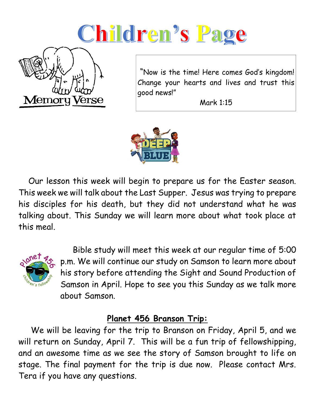# Children's Page



"Now is the time! Here comes God's kingdom! Change your hearts and lives and trust this good news!"

Mark 1:15



 Our lesson this week will begin to prepare us for the Easter season. This week we will talk about the Last Supper. Jesus was trying to prepare his disciples for his death, but they did not understand what he was talking about. This Sunday we will learn more about what took place at this meal.



 Bible study will meet this week at our regular time of 5:00 p.m. We will continue our study on Samson to learn more about his story before attending the Sight and Sound Production of Samson in April. Hope to see you this Sunday as we talk more about Samson.

#### **Planet 456 Branson Trip:**

 We will be leaving for the trip to Branson on Friday, April 5, and we will return on Sunday, April 7. This will be a fun trip of fellowshipping, and an awesome time as we see the story of Samson brought to life on stage. The final payment for the trip is due now. Please contact Mrs. Tera if you have any questions.